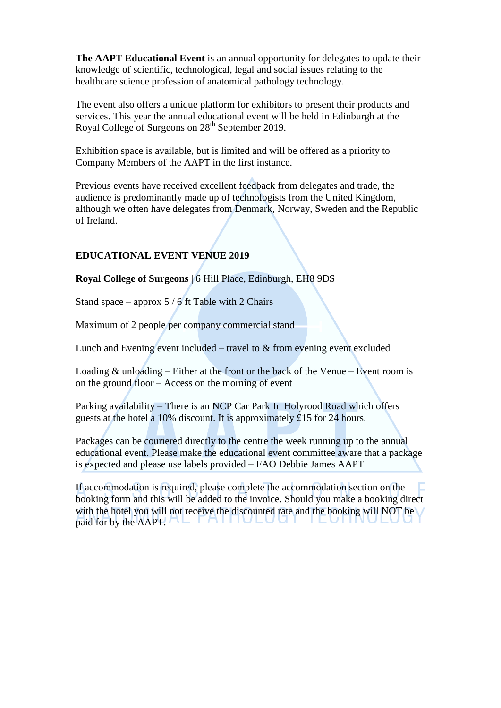**The AAPT Educational Event** is an annual opportunity for delegates to update their knowledge of scientific, technological, legal and social issues relating to the healthcare science profession of anatomical pathology technology.

The event also offers a unique platform for exhibitors to present their products and services. This year the annual educational event will be held in Edinburgh at the Royal College of Surgeons on 28<sup>th</sup> September 2019.

Exhibition space is available, but is limited and will be offered as a priority to Company Members of the AAPT in the first instance.

Previous events have received excellent feedback from delegates and trade, the audience is predominantly made up of technologists from the United Kingdom, although we often have delegates from Denmark, Norway, Sweden and the Republic of Ireland.

## **EDUCATIONAL EVENT VENUE 2019**

**Royal College of Surgeons** | 6 Hill Place, Edinburgh, EH8 9DS

Stand space – approx  $5/6$  ft Table with 2 Chairs

Maximum of 2 people per company commercial stand

Lunch and Evening event included – travel to  $&$  from evening event excluded

Loading  $&$  unloading – Either at the front or the back of the Venue – Event room is on the ground floor – Access on the morning of event

Parking availability – There is an NCP Car Park In Holyrood Road which offers guests at the hotel a 10% discount. It is approximately £15 for 24 hours.

Packages can be couriered directly to the centre the week running up to the annual educational event. Please make the educational event committee aware that a package is expected and please use labels provided – FAO Debbie James AAPT

If accommodation is required, please complete the accommodation section on the booking form and this will be added to the invoice. Should you make a booking direct with the hotel you will not receive the discounted rate and the booking will NOT be paid for by the AAPT. AL FAITUEUUT TEUTINUEUU